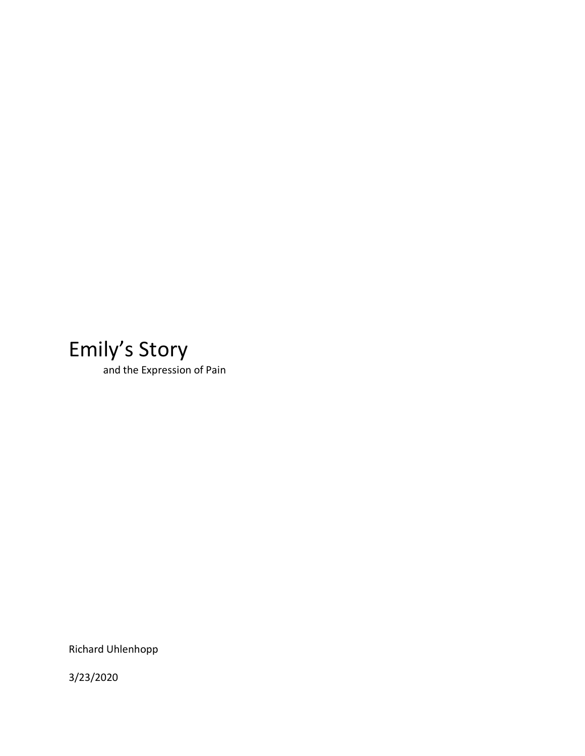## Emily's Story

and the Expression of Pain

Richard Uhlenhopp

3/23/2020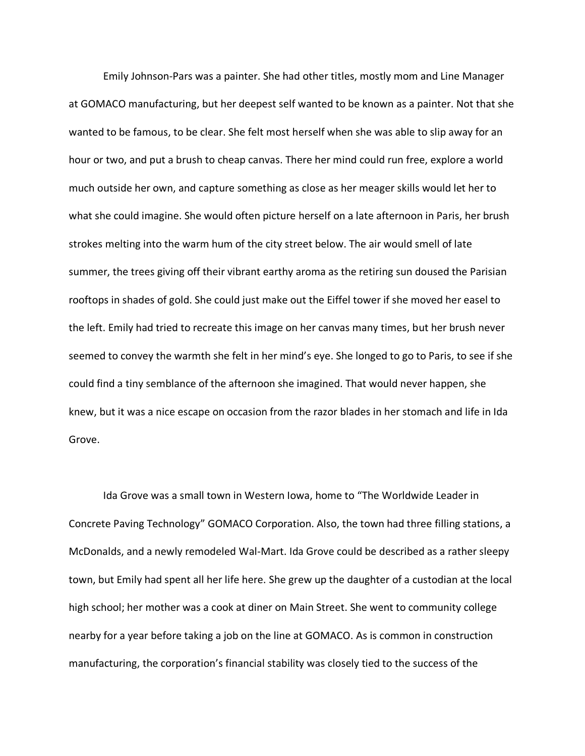Emily Johnson-Pars was a painter. She had other titles, mostly mom and Line Manager at GOMACO manufacturing, but her deepest self wanted to be known as a painter. Not that she wanted to be famous, to be clear. She felt most herself when she was able to slip away for an hour or two, and put a brush to cheap canvas. There her mind could run free, explore a world much outside her own, and capture something as close as her meager skills would let her to what she could imagine. She would often picture herself on a late afternoon in Paris, her brush strokes melting into the warm hum of the city street below. The air would smell of late summer, the trees giving off their vibrant earthy aroma as the retiring sun doused the Parisian rooftops in shades of gold. She could just make out the Eiffel tower if she moved her easel to the left. Emily had tried to recreate this image on her canvas many times, but her brush never seemed to convey the warmth she felt in her mind's eye. She longed to go to Paris, to see if she could find a tiny semblance of the afternoon she imagined. That would never happen, she knew, but it was a nice escape on occasion from the razor blades in her stomach and life in Ida Grove.

Ida Grove was a small town in Western Iowa, home to "The Worldwide Leader in Concrete Paving Technology" GOMACO Corporation. Also, the town had three filling stations, a McDonalds, and a newly remodeled Wal-Mart. Ida Grove could be described as a rather sleepy town, but Emily had spent all her life here. She grew up the daughter of a custodian at the local high school; her mother was a cook at diner on Main Street. She went to community college nearby for a year before taking a job on the line at GOMACO. As is common in construction manufacturing, the corporation's financial stability was closely tied to the success of the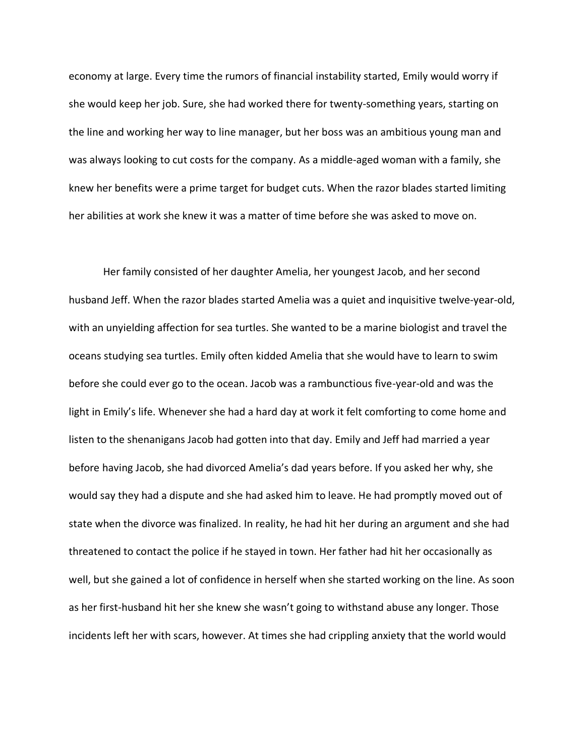economy at large. Every time the rumors of financial instability started, Emily would worry if she would keep her job. Sure, she had worked there for twenty-something years, starting on the line and working her way to line manager, but her boss was an ambitious young man and was always looking to cut costs for the company. As a middle-aged woman with a family, she knew her benefits were a prime target for budget cuts. When the razor blades started limiting her abilities at work she knew it was a matter of time before she was asked to move on.

Her family consisted of her daughter Amelia, her youngest Jacob, and her second husband Jeff. When the razor blades started Amelia was a quiet and inquisitive twelve-year-old, with an unyielding affection for sea turtles. She wanted to be a marine biologist and travel the oceans studying sea turtles. Emily often kidded Amelia that she would have to learn to swim before she could ever go to the ocean. Jacob was a rambunctious five-year-old and was the light in Emily's life. Whenever she had a hard day at work it felt comforting to come home and listen to the shenanigans Jacob had gotten into that day. Emily and Jeff had married a year before having Jacob, she had divorced Amelia's dad years before. If you asked her why, she would say they had a dispute and she had asked him to leave. He had promptly moved out of state when the divorce was finalized. In reality, he had hit her during an argument and she had threatened to contact the police if he stayed in town. Her father had hit her occasionally as well, but she gained a lot of confidence in herself when she started working on the line. As soon as her first-husband hit her she knew she wasn't going to withstand abuse any longer. Those incidents left her with scars, however. At times she had crippling anxiety that the world would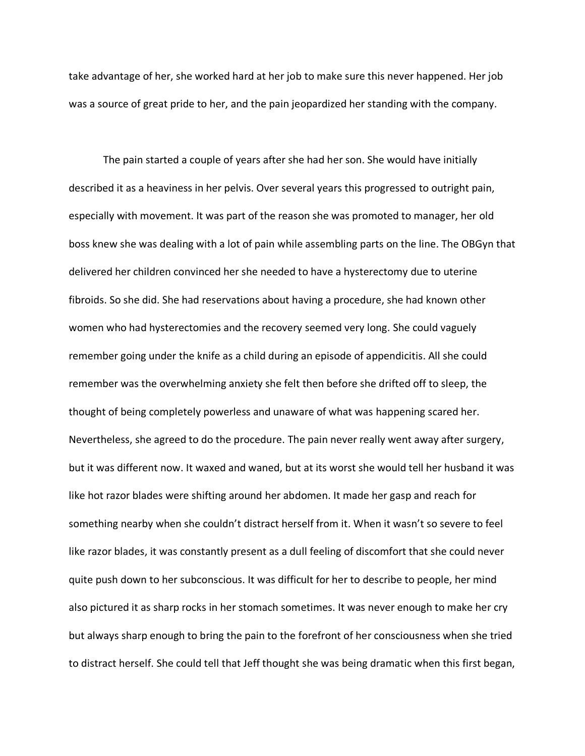take advantage of her, she worked hard at her job to make sure this never happened. Her job was a source of great pride to her, and the pain jeopardized her standing with the company.

The pain started a couple of years after she had her son. She would have initially described it as a heaviness in her pelvis. Over several years this progressed to outright pain, especially with movement. It was part of the reason she was promoted to manager, her old boss knew she was dealing with a lot of pain while assembling parts on the line. The OBGyn that delivered her children convinced her she needed to have a hysterectomy due to uterine fibroids. So she did. She had reservations about having a procedure, she had known other women who had hysterectomies and the recovery seemed very long. She could vaguely remember going under the knife as a child during an episode of appendicitis. All she could remember was the overwhelming anxiety she felt then before she drifted off to sleep, the thought of being completely powerless and unaware of what was happening scared her. Nevertheless, she agreed to do the procedure. The pain never really went away after surgery, but it was different now. It waxed and waned, but at its worst she would tell her husband it was like hot razor blades were shifting around her abdomen. It made her gasp and reach for something nearby when she couldn't distract herself from it. When it wasn't so severe to feel like razor blades, it was constantly present as a dull feeling of discomfort that she could never quite push down to her subconscious. It was difficult for her to describe to people, her mind also pictured it as sharp rocks in her stomach sometimes. It was never enough to make her cry but always sharp enough to bring the pain to the forefront of her consciousness when she tried to distract herself. She could tell that Jeff thought she was being dramatic when this first began,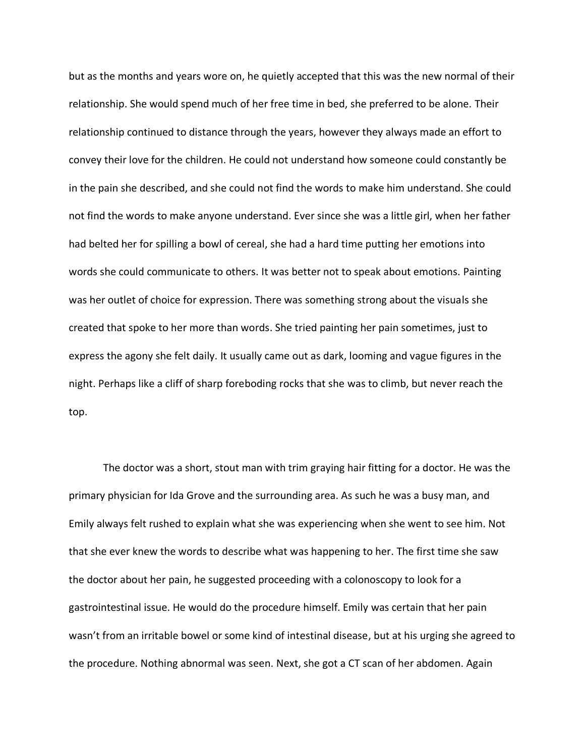but as the months and years wore on, he quietly accepted that this was the new normal of their relationship. She would spend much of her free time in bed, she preferred to be alone. Their relationship continued to distance through the years, however they always made an effort to convey their love for the children. He could not understand how someone could constantly be in the pain she described, and she could not find the words to make him understand. She could not find the words to make anyone understand. Ever since she was a little girl, when her father had belted her for spilling a bowl of cereal, she had a hard time putting her emotions into words she could communicate to others. It was better not to speak about emotions. Painting was her outlet of choice for expression. There was something strong about the visuals she created that spoke to her more than words. She tried painting her pain sometimes, just to express the agony she felt daily. It usually came out as dark, looming and vague figures in the night. Perhaps like a cliff of sharp foreboding rocks that she was to climb, but never reach the top.

The doctor was a short, stout man with trim graying hair fitting for a doctor. He was the primary physician for Ida Grove and the surrounding area. As such he was a busy man, and Emily always felt rushed to explain what she was experiencing when she went to see him. Not that she ever knew the words to describe what was happening to her. The first time she saw the doctor about her pain, he suggested proceeding with a colonoscopy to look for a gastrointestinal issue. He would do the procedure himself. Emily was certain that her pain wasn't from an irritable bowel or some kind of intestinal disease, but at his urging she agreed to the procedure. Nothing abnormal was seen. Next, she got a CT scan of her abdomen. Again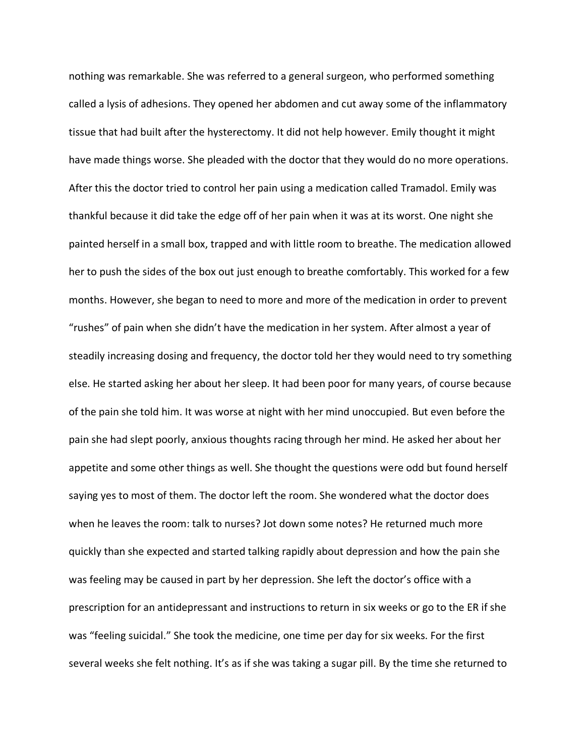nothing was remarkable. She was referred to a general surgeon, who performed something called a lysis of adhesions. They opened her abdomen and cut away some of the inflammatory tissue that had built after the hysterectomy. It did not help however. Emily thought it might have made things worse. She pleaded with the doctor that they would do no more operations. After this the doctor tried to control her pain using a medication called Tramadol. Emily was thankful because it did take the edge off of her pain when it was at its worst. One night she painted herself in a small box, trapped and with little room to breathe. The medication allowed her to push the sides of the box out just enough to breathe comfortably. This worked for a few months. However, she began to need to more and more of the medication in order to prevent "rushes" of pain when she didn't have the medication in her system. After almost a year of steadily increasing dosing and frequency, the doctor told her they would need to try something else. He started asking her about her sleep. It had been poor for many years, of course because of the pain she told him. It was worse at night with her mind unoccupied. But even before the pain she had slept poorly, anxious thoughts racing through her mind. He asked her about her appetite and some other things as well. She thought the questions were odd but found herself saying yes to most of them. The doctor left the room. She wondered what the doctor does when he leaves the room: talk to nurses? Jot down some notes? He returned much more quickly than she expected and started talking rapidly about depression and how the pain she was feeling may be caused in part by her depression. She left the doctor's office with a prescription for an antidepressant and instructions to return in six weeks or go to the ER if she was "feeling suicidal." She took the medicine, one time per day for six weeks. For the first several weeks she felt nothing. It's as if she was taking a sugar pill. By the time she returned to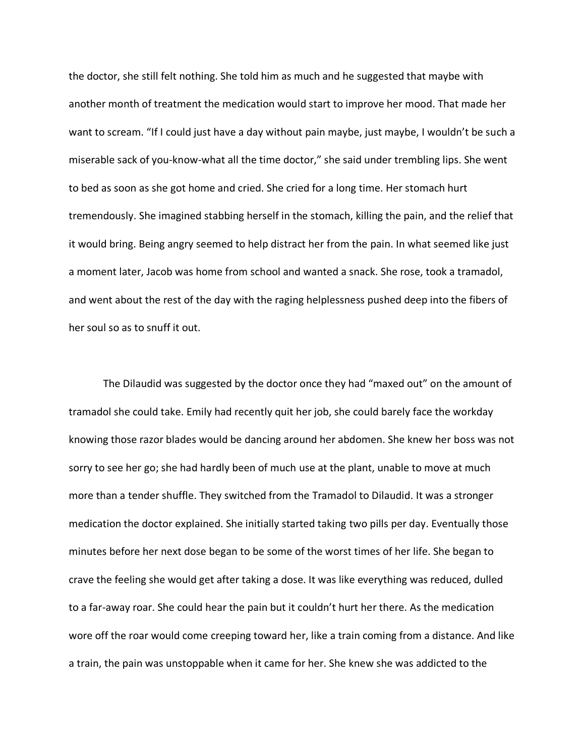the doctor, she still felt nothing. She told him as much and he suggested that maybe with another month of treatment the medication would start to improve her mood. That made her want to scream. "If I could just have a day without pain maybe, just maybe, I wouldn't be such a miserable sack of you-know-what all the time doctor," she said under trembling lips. She went to bed as soon as she got home and cried. She cried for a long time. Her stomach hurt tremendously. She imagined stabbing herself in the stomach, killing the pain, and the relief that it would bring. Being angry seemed to help distract her from the pain. In what seemed like just a moment later, Jacob was home from school and wanted a snack. She rose, took a tramadol, and went about the rest of the day with the raging helplessness pushed deep into the fibers of her soul so as to snuff it out.

The Dilaudid was suggested by the doctor once they had "maxed out" on the amount of tramadol she could take. Emily had recently quit her job, she could barely face the workday knowing those razor blades would be dancing around her abdomen. She knew her boss was not sorry to see her go; she had hardly been of much use at the plant, unable to move at much more than a tender shuffle. They switched from the Tramadol to Dilaudid. It was a stronger medication the doctor explained. She initially started taking two pills per day. Eventually those minutes before her next dose began to be some of the worst times of her life. She began to crave the feeling she would get after taking a dose. It was like everything was reduced, dulled to a far-away roar. She could hear the pain but it couldn't hurt her there. As the medication wore off the roar would come creeping toward her, like a train coming from a distance. And like a train, the pain was unstoppable when it came for her. She knew she was addicted to the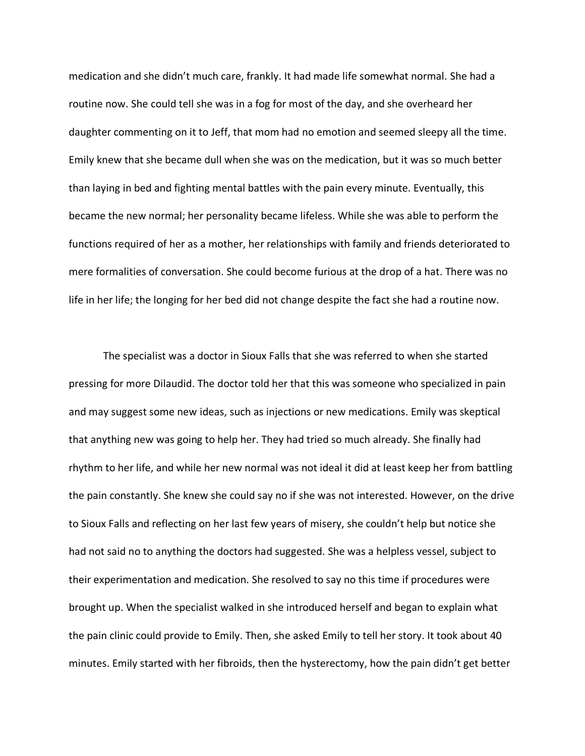medication and she didn't much care, frankly. It had made life somewhat normal. She had a routine now. She could tell she was in a fog for most of the day, and she overheard her daughter commenting on it to Jeff, that mom had no emotion and seemed sleepy all the time. Emily knew that she became dull when she was on the medication, but it was so much better than laying in bed and fighting mental battles with the pain every minute. Eventually, this became the new normal; her personality became lifeless. While she was able to perform the functions required of her as a mother, her relationships with family and friends deteriorated to mere formalities of conversation. She could become furious at the drop of a hat. There was no life in her life; the longing for her bed did not change despite the fact she had a routine now.

The specialist was a doctor in Sioux Falls that she was referred to when she started pressing for more Dilaudid. The doctor told her that this was someone who specialized in pain and may suggest some new ideas, such as injections or new medications. Emily was skeptical that anything new was going to help her. They had tried so much already. She finally had rhythm to her life, and while her new normal was not ideal it did at least keep her from battling the pain constantly. She knew she could say no if she was not interested. However, on the drive to Sioux Falls and reflecting on her last few years of misery, she couldn't help but notice she had not said no to anything the doctors had suggested. She was a helpless vessel, subject to their experimentation and medication. She resolved to say no this time if procedures were brought up. When the specialist walked in she introduced herself and began to explain what the pain clinic could provide to Emily. Then, she asked Emily to tell her story. It took about 40 minutes. Emily started with her fibroids, then the hysterectomy, how the pain didn't get better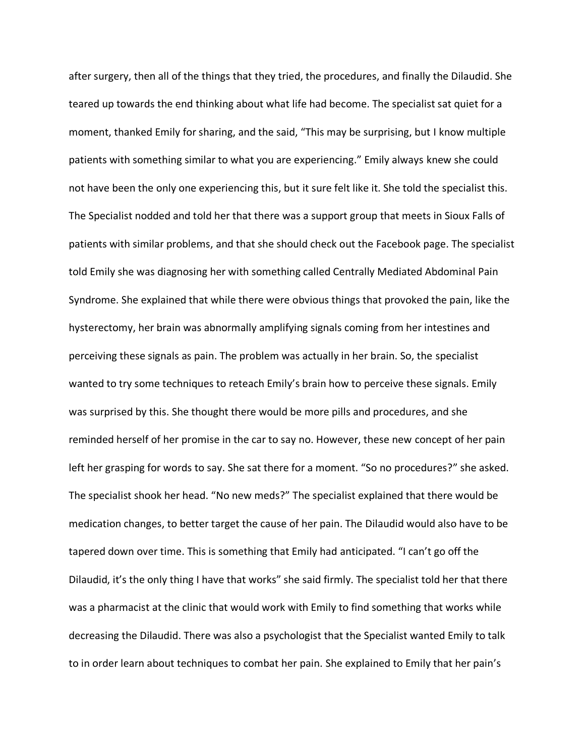after surgery, then all of the things that they tried, the procedures, and finally the Dilaudid. She teared up towards the end thinking about what life had become. The specialist sat quiet for a moment, thanked Emily for sharing, and the said, "This may be surprising, but I know multiple patients with something similar to what you are experiencing." Emily always knew she could not have been the only one experiencing this, but it sure felt like it. She told the specialist this. The Specialist nodded and told her that there was a support group that meets in Sioux Falls of patients with similar problems, and that she should check out the Facebook page. The specialist told Emily she was diagnosing her with something called Centrally Mediated Abdominal Pain Syndrome. She explained that while there were obvious things that provoked the pain, like the hysterectomy, her brain was abnormally amplifying signals coming from her intestines and perceiving these signals as pain. The problem was actually in her brain. So, the specialist wanted to try some techniques to reteach Emily's brain how to perceive these signals. Emily was surprised by this. She thought there would be more pills and procedures, and she reminded herself of her promise in the car to say no. However, these new concept of her pain left her grasping for words to say. She sat there for a moment. "So no procedures?" she asked. The specialist shook her head. "No new meds?" The specialist explained that there would be medication changes, to better target the cause of her pain. The Dilaudid would also have to be tapered down over time. This is something that Emily had anticipated. "I can't go off the Dilaudid, it's the only thing I have that works" she said firmly. The specialist told her that there was a pharmacist at the clinic that would work with Emily to find something that works while decreasing the Dilaudid. There was also a psychologist that the Specialist wanted Emily to talk to in order learn about techniques to combat her pain. She explained to Emily that her pain's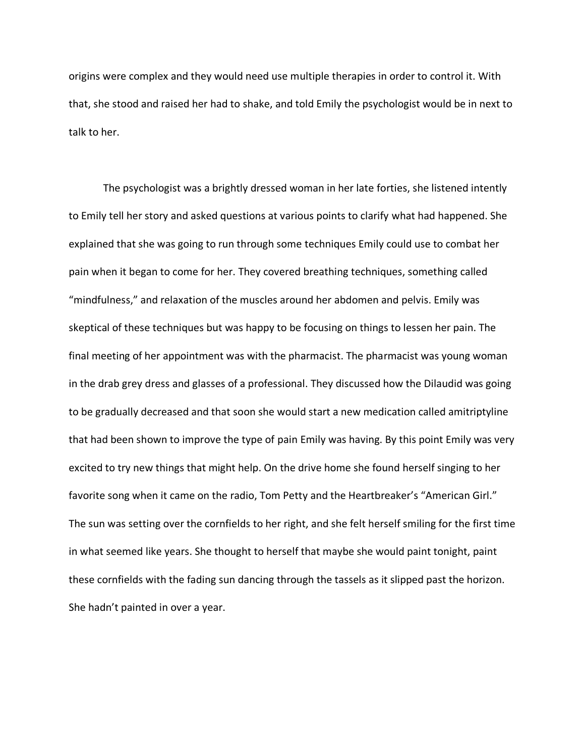origins were complex and they would need use multiple therapies in order to control it. With that, she stood and raised her had to shake, and told Emily the psychologist would be in next to talk to her.

The psychologist was a brightly dressed woman in her late forties, she listened intently to Emily tell her story and asked questions at various points to clarify what had happened. She explained that she was going to run through some techniques Emily could use to combat her pain when it began to come for her. They covered breathing techniques, something called "mindfulness," and relaxation of the muscles around her abdomen and pelvis. Emily was skeptical of these techniques but was happy to be focusing on things to lessen her pain. The final meeting of her appointment was with the pharmacist. The pharmacist was young woman in the drab grey dress and glasses of a professional. They discussed how the Dilaudid was going to be gradually decreased and that soon she would start a new medication called amitriptyline that had been shown to improve the type of pain Emily was having. By this point Emily was very excited to try new things that might help. On the drive home she found herself singing to her favorite song when it came on the radio, Tom Petty and the Heartbreaker's "American Girl." The sun was setting over the cornfields to her right, and she felt herself smiling for the first time in what seemed like years. She thought to herself that maybe she would paint tonight, paint these cornfields with the fading sun dancing through the tassels as it slipped past the horizon. She hadn't painted in over a year.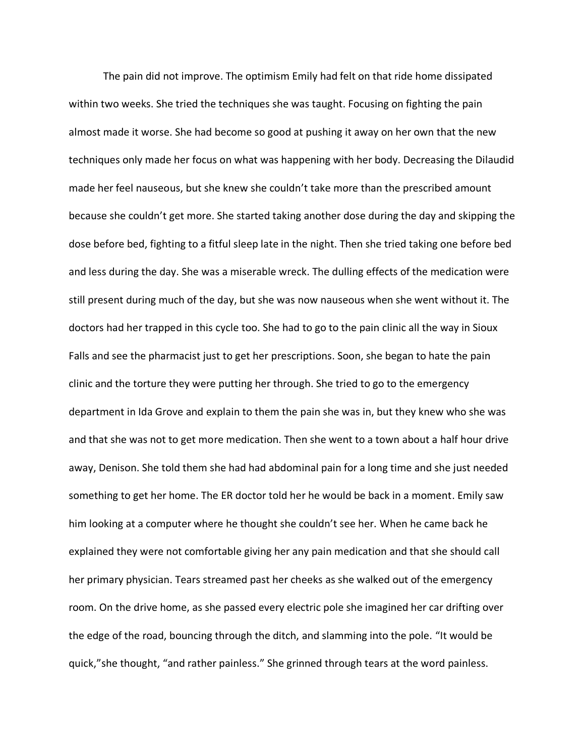The pain did not improve. The optimism Emily had felt on that ride home dissipated within two weeks. She tried the techniques she was taught. Focusing on fighting the pain almost made it worse. She had become so good at pushing it away on her own that the new techniques only made her focus on what was happening with her body. Decreasing the Dilaudid made her feel nauseous, but she knew she couldn't take more than the prescribed amount because she couldn't get more. She started taking another dose during the day and skipping the dose before bed, fighting to a fitful sleep late in the night. Then she tried taking one before bed and less during the day. She was a miserable wreck. The dulling effects of the medication were still present during much of the day, but she was now nauseous when she went without it. The doctors had her trapped in this cycle too. She had to go to the pain clinic all the way in Sioux Falls and see the pharmacist just to get her prescriptions. Soon, she began to hate the pain clinic and the torture they were putting her through. She tried to go to the emergency department in Ida Grove and explain to them the pain she was in, but they knew who she was and that she was not to get more medication. Then she went to a town about a half hour drive away, Denison. She told them she had had abdominal pain for a long time and she just needed something to get her home. The ER doctor told her he would be back in a moment. Emily saw him looking at a computer where he thought she couldn't see her. When he came back he explained they were not comfortable giving her any pain medication and that she should call her primary physician. Tears streamed past her cheeks as she walked out of the emergency room. On the drive home, as she passed every electric pole she imagined her car drifting over the edge of the road, bouncing through the ditch, and slamming into the pole. "It would be quick,"she thought, "and rather painless." She grinned through tears at the word painless.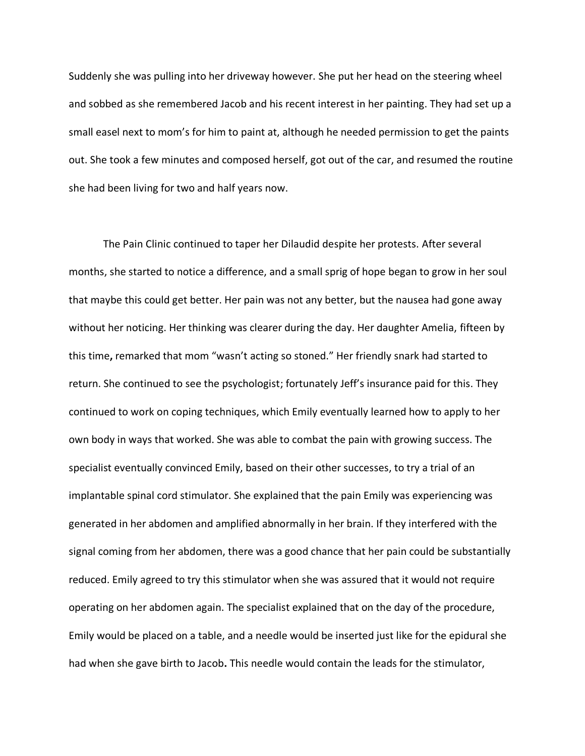Suddenly she was pulling into her driveway however. She put her head on the steering wheel and sobbed as she remembered Jacob and his recent interest in her painting. They had set up a small easel next to mom's for him to paint at, although he needed permission to get the paints out. She took a few minutes and composed herself, got out of the car, and resumed the routine she had been living for two and half years now.

The Pain Clinic continued to taper her Dilaudid despite her protests. After several months, she started to notice a difference, and a small sprig of hope began to grow in her soul that maybe this could get better. Her pain was not any better, but the nausea had gone away without her noticing. Her thinking was clearer during the day. Her daughter Amelia, fifteen by this time**,** remarked that mom "wasn't acting so stoned." Her friendly snark had started to return. She continued to see the psychologist; fortunately Jeff's insurance paid for this. They continued to work on coping techniques, which Emily eventually learned how to apply to her own body in ways that worked. She was able to combat the pain with growing success. The specialist eventually convinced Emily, based on their other successes, to try a trial of an implantable spinal cord stimulator. She explained that the pain Emily was experiencing was generated in her abdomen and amplified abnormally in her brain. If they interfered with the signal coming from her abdomen, there was a good chance that her pain could be substantially reduced. Emily agreed to try this stimulator when she was assured that it would not require operating on her abdomen again. The specialist explained that on the day of the procedure, Emily would be placed on a table, and a needle would be inserted just like for the epidural she had when she gave birth to Jacob**.** This needle would contain the leads for the stimulator,